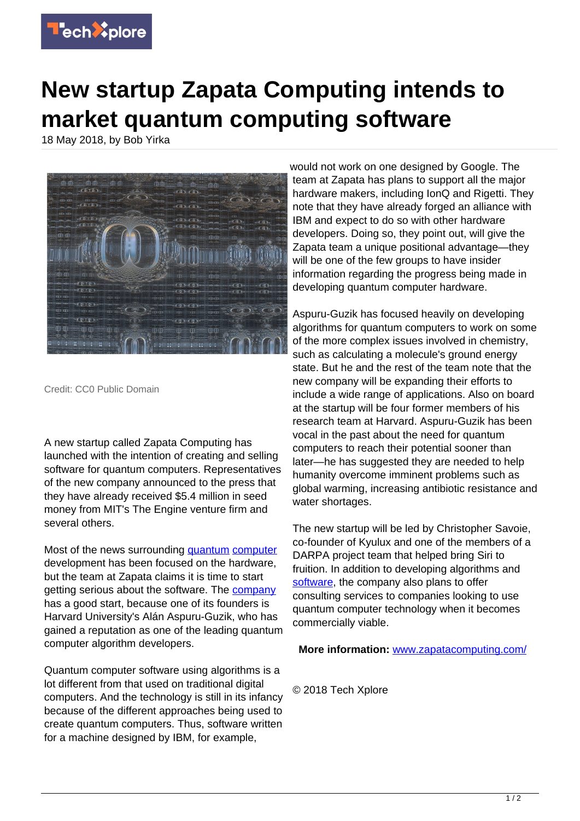

## **New startup Zapata Computing intends to market quantum computing software**

18 May 2018, by Bob Yirka



Credit: CC0 Public Domain

A new startup called Zapata Computing has launched with the intention of creating and selling software for quantum computers. Representatives of the new company announced to the press that they have already received \$5.4 million in seed money from MIT's The Engine venture firm and several others.

Most of the news surrounding [quantum](https://techxplore.com/tags/quantum/) [computer](https://techxplore.com/tags/computer/) development has been focused on the hardware, but the team at Zapata claims it is time to start getting serious about the software. The **[company](https://techxplore.com/tags/company/)** has a good start, because one of its founders is Harvard University's Alán Aspuru-Guzik, who has gained a reputation as one of the leading quantum computer algorithm developers.

Quantum computer software using algorithms is a lot different from that used on traditional digital computers. And the technology is still in its infancy because of the different approaches being used to create quantum computers. Thus, software written for a machine designed by IBM, for example,

would not work on one designed by Google. The team at Zapata has plans to support all the major hardware makers, including IonQ and Rigetti. They note that they have already forged an alliance with IBM and expect to do so with other hardware developers. Doing so, they point out, will give the Zapata team a unique positional advantage—they will be one of the few groups to have insider information regarding the progress being made in developing quantum computer hardware.

Aspuru-Guzik has focused heavily on developing algorithms for quantum computers to work on some of the more complex issues involved in chemistry, such as calculating a molecule's ground energy state. But he and the rest of the team note that the new company will be expanding their efforts to include a wide range of applications. Also on board at the startup will be four former members of his research team at Harvard. Aspuru-Guzik has been vocal in the past about the need for quantum computers to reach their potential sooner than later—he has suggested they are needed to help humanity overcome imminent problems such as global warming, increasing antibiotic resistance and water shortages.

The new startup will be led by Christopher Savoie, co-founder of Kyulux and one of the members of a DARPA project team that helped bring Siri to fruition. In addition to developing algorithms and [software](https://techxplore.com/tags/software/), the company also plans to offer consulting services to companies looking to use quantum computer technology when it becomes commercially viable.

**More information:** [www.zapatacomputing.com/](http://www.zapatacomputing.com/)

© 2018 Tech Xplore